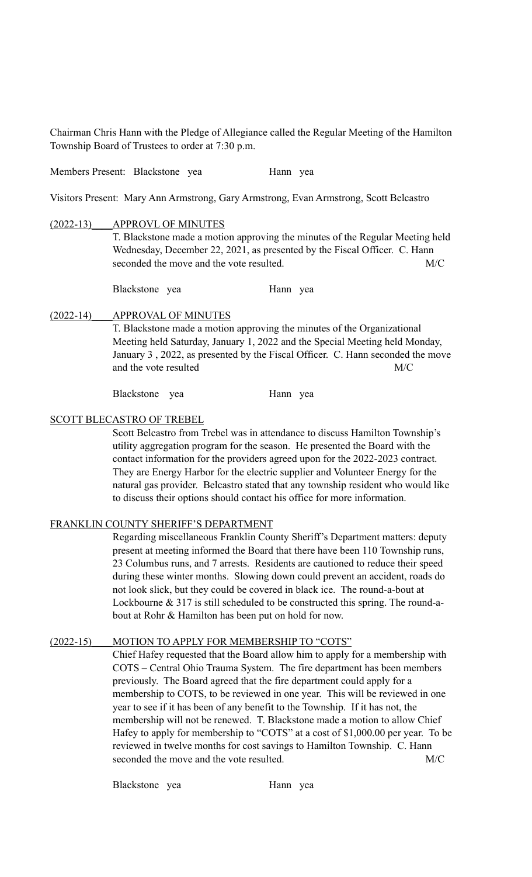Chairman Chris Hann with the Pledge of Allegiance called the Regular Meeting of the Hamilton Township Board of Trustees to order at 7:30 p.m.

Members Present: Blackstone yea Hann yea

Visitors Present: Mary Ann Armstrong, Gary Armstrong, Evan Armstrong, Scott Belcastro

## (2022-13) APPROVL OF MINUTES

T. Blackstone made a motion approving the minutes of the Regular Meeting held Wednesday, December 22, 2021, as presented by the Fiscal Officer. C. Hann seconded the move and the vote resulted. M/C

Blackstone yea Hann yea

## (2022-14)\_\_\_\_APPROVAL OF MINUTES

T. Blackstone made a motion approving the minutes of the Organizational Meeting held Saturday, January 1, 2022 and the Special Meeting held Monday, January 3 , 2022, as presented by the Fiscal Officer. C. Hann seconded the move and the vote resulted M/C

Blackstone yea Hann yea

## SCOTT BLECASTRO OF TREBEL

Scott Belcastro from Trebel was in attendance to discuss Hamilton Township's utility aggregation program for the season. He presented the Board with the contact information for the providers agreed upon for the 2022-2023 contract. They are Energy Harbor for the electric supplier and Volunteer Energy for the natural gas provider. Belcastro stated that any township resident who would like to discuss their options should contact his office for more information.

## FRANKLIN COUNTY SHERIFF'S DEPARTMENT

Regarding miscellaneous Franklin County Sheriff's Department matters: deputy present at meeting informed the Board that there have been 110 Township runs, 23 Columbus runs, and 7 arrests. Residents are cautioned to reduce their speed during these winter months. Slowing down could prevent an accident, roads do not look slick, but they could be covered in black ice. The round-a-bout at Lockbourne & 317 is still scheduled to be constructed this spring. The round-about at Rohr & Hamilton has been put on hold for now.

## (2022-15) MOTION TO APPLY FOR MEMBERSHIP TO "COTS"

Chief Hafey requested that the Board allow him to apply for a membership with COTS – Central Ohio Trauma System. The fire department has been members previously. The Board agreed that the fire department could apply for a membership to COTS, to be reviewed in one year. This will be reviewed in one year to see if it has been of any benefit to the Township. If it has not, the membership will not be renewed. T. Blackstone made a motion to allow Chief Hafey to apply for membership to "COTS" at a cost of \$1,000.00 per year. To be reviewed in twelve months for cost savings to Hamilton Township. C. Hann seconded the move and the vote resulted. M/C

Blackstone yea Hann yea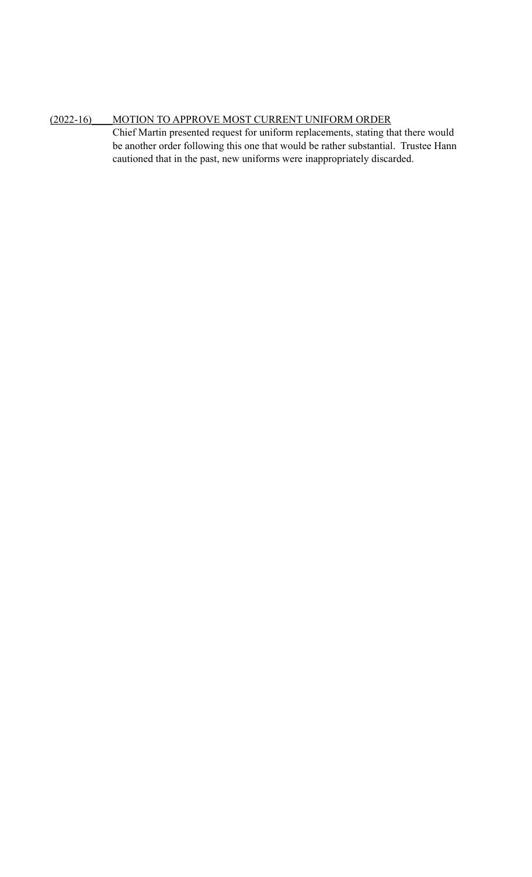# (2022-16)\_\_\_\_MOTION TO APPROVE MOST CURRENT UNIFORM ORDER

Chief Martin presented request for uniform replacements, stating that there would be another order following this one that would be rather substantial. Trustee Hann cautioned that in the past, new uniforms were inappropriately discarded.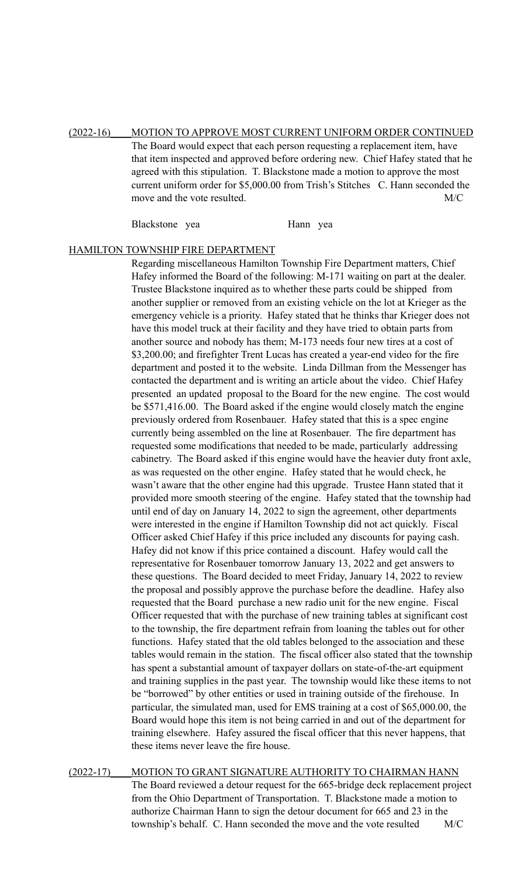(2022-16)\_\_\_\_MOTION TO APPROVE MOST CURRENT UNIFORM ORDER CONTINUED The Board would expect that each person requesting a replacement item, have that item inspected and approved before ordering new. Chief Hafey stated that he agreed with this stipulation. T. Blackstone made a motion to approve the most current uniform order for \$5,000.00 from Trish's Stitches C. Hann seconded the move and the vote resulted. M/C

Blackstone yea Hann yea

#### HAMILTON TOWNSHIP FIRE DEPARTMENT

Regarding miscellaneous Hamilton Township Fire Department matters, Chief Hafey informed the Board of the following: M-171 waiting on part at the dealer. Trustee Blackstone inquired as to whether these parts could be shipped from another supplier or removed from an existing vehicle on the lot at Krieger as the emergency vehicle is a priority. Hafey stated that he thinks thar Krieger does not have this model truck at their facility and they have tried to obtain parts from another source and nobody has them; M-173 needs four new tires at a cost of \$3,200.00; and firefighter Trent Lucas has created a year-end video for the fire department and posted it to the website. Linda Dillman from the Messenger has contacted the department and is writing an article about the video. Chief Hafey presented an updated proposal to the Board for the new engine. The cost would be \$571,416.00. The Board asked if the engine would closely match the engine previously ordered from Rosenbauer. Hafey stated that this is a spec engine currently being assembled on the line at Rosenbauer. The fire department has requested some modifications that needed to be made, particularly addressing cabinetry. The Board asked if this engine would have the heavier duty front axle, as was requested on the other engine. Hafey stated that he would check, he wasn't aware that the other engine had this upgrade. Trustee Hann stated that it provided more smooth steering of the engine. Hafey stated that the township had until end of day on January 14, 2022 to sign the agreement, other departments were interested in the engine if Hamilton Township did not act quickly. Fiscal Officer asked Chief Hafey if this price included any discounts for paying cash. Hafey did not know if this price contained a discount. Hafey would call the representative for Rosenbauer tomorrow January 13, 2022 and get answers to these questions. The Board decided to meet Friday, January 14, 2022 to review the proposal and possibly approve the purchase before the deadline. Hafey also requested that the Board purchase a new radio unit for the new engine. Fiscal Officer requested that with the purchase of new training tables at significant cost to the township, the fire department refrain from loaning the tables out for other functions. Hafey stated that the old tables belonged to the association and these tables would remain in the station. The fiscal officer also stated that the township has spent a substantial amount of taxpayer dollars on state-of-the-art equipment and training supplies in the past year. The township would like these items to not be "borrowed" by other entities or used in training outside of the firehouse. In particular, the simulated man, used for EMS training at a cost of \$65,000.00, the Board would hope this item is not being carried in and out of the department for training elsewhere. Hafey assured the fiscal officer that this never happens, that these items never leave the fire house.

(2022-17) MOTION TO GRANT SIGNATURE AUTHORITY TO CHAIRMAN HANN The Board reviewed a detour request for the 665-bridge deck replacement project from the Ohio Department of Transportation. T. Blackstone made a motion to authorize Chairman Hann to sign the detour document for 665 and 23 in the township's behalf. C. Hann seconded the move and the vote resulted M/C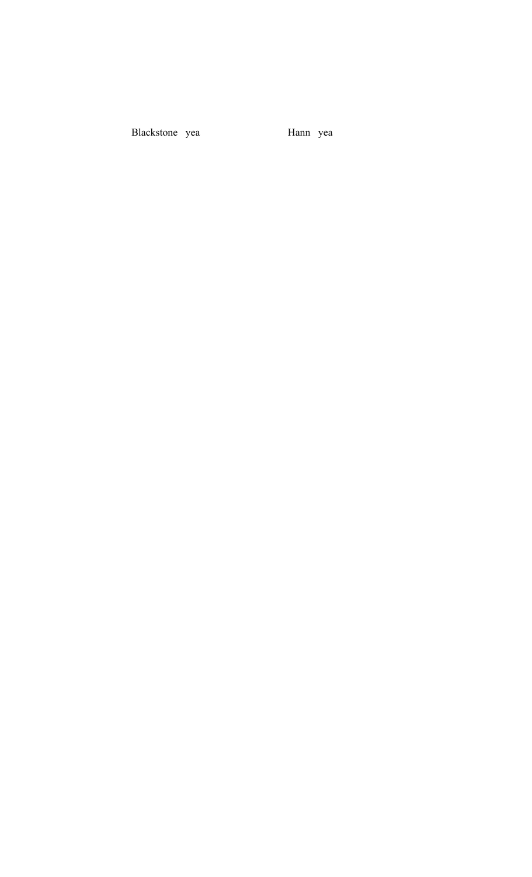Blackstone yea

Hann yea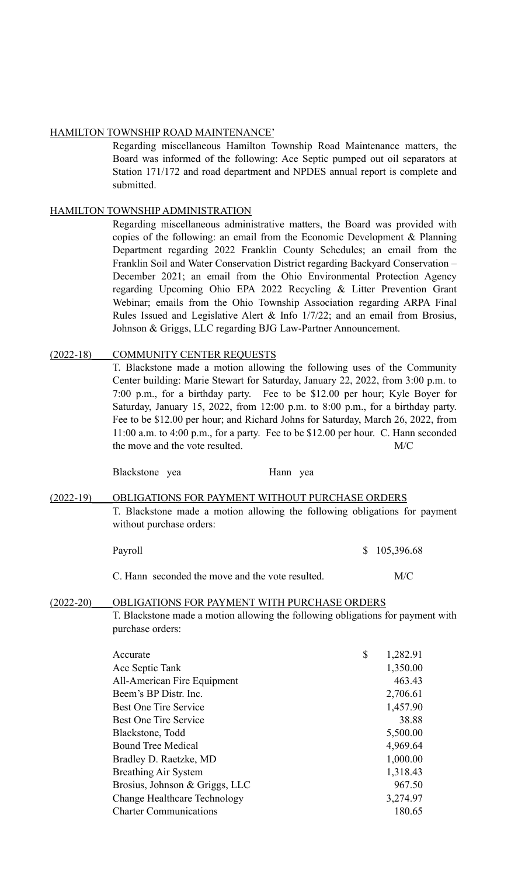## HAMILTON TOWNSHIP ROAD MAINTENANCE'

Regarding miscellaneous Hamilton Township Road Maintenance matters, the Board was informed of the following: Ace Septic pumped out oil separators at Station 171/172 and road department and NPDES annual report is complete and submitted.

## HAMILTON TOWNSHIP ADMINISTRATION

Regarding miscellaneous administrative matters, the Board was provided with copies of the following: an email from the Economic Development & Planning Department regarding 2022 Franklin County Schedules; an email from the Franklin Soil and Water Conservation District regarding Backyard Conservation – December 2021; an email from the Ohio Environmental Protection Agency regarding Upcoming Ohio EPA 2022 Recycling & Litter Prevention Grant Webinar; emails from the Ohio Township Association regarding ARPA Final Rules Issued and Legislative Alert & Info 1/7/22; and an email from Brosius, Johnson & Griggs, LLC regarding BJG Law-Partner Announcement.

## (2022-18) COMMUNITY CENTER REQUESTS

T. Blackstone made a motion allowing the following uses of the Community Center building: Marie Stewart for Saturday, January 22, 2022, from 3:00 p.m. to 7:00 p.m., for a birthday party. Fee to be \$12.00 per hour; Kyle Boyer for Saturday, January 15, 2022, from 12:00 p.m. to 8:00 p.m., for a birthday party. Fee to be \$12.00 per hour; and Richard Johns for Saturday, March 26, 2022, from 11:00 a.m. to 4:00 p.m., for a party. Fee to be \$12.00 per hour. C. Hann seconded the move and the vote resulted. M/C

Blackstone yea Hann yea

## (2022-19) OBLIGATIONS FOR PAYMENT WITHOUT PURCHASE ORDERS T. Blackstone made a motion allowing the following obligations for payment without purchase orders:

| Payroll | \$105,396.68 |
|---------|--------------|
|         |              |

C. Hann seconded the move and the vote resulted. M/C

## (2022-20)\_\_\_\_OBLIGATIONS FOR PAYMENT WITH PURCHASE ORDERS

T. Blackstone made a motion allowing the following obligations for payment with purchase orders:

| Accurate                            | \$<br>1,282.91 |
|-------------------------------------|----------------|
| Ace Septic Tank                     | 1,350.00       |
| All-American Fire Equipment         | 463.43         |
| Beem's BP Distr. Inc.               | 2,706.61       |
| <b>Best One Tire Service</b>        | 1,457.90       |
| Best One Tire Service               | 38.88          |
| Blackstone, Todd                    | 5,500.00       |
| <b>Bound Tree Medical</b>           | 4,969.64       |
| Bradley D. Raetzke, MD              | 1,000.00       |
| <b>Breathing Air System</b>         | 1,318.43       |
| Brosius, Johnson & Griggs, LLC      | 967.50         |
| <b>Change Healthcare Technology</b> | 3,274.97       |
| <b>Charter Communications</b>       | 180.65         |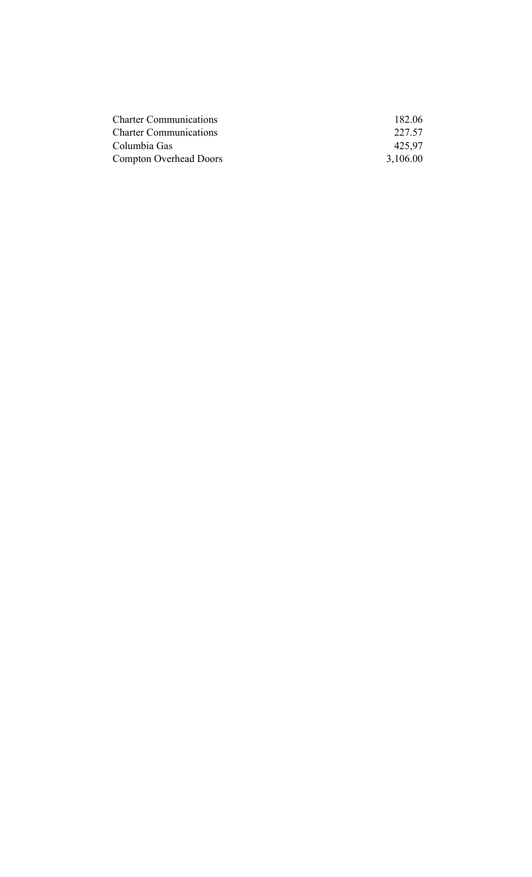| <b>Charter Communications</b> | 182.06   |
|-------------------------------|----------|
| <b>Charter Communications</b> | 227.57   |
| Columbia Gas                  | 425.97   |
| <b>Compton Overhead Doors</b> | 3,106.00 |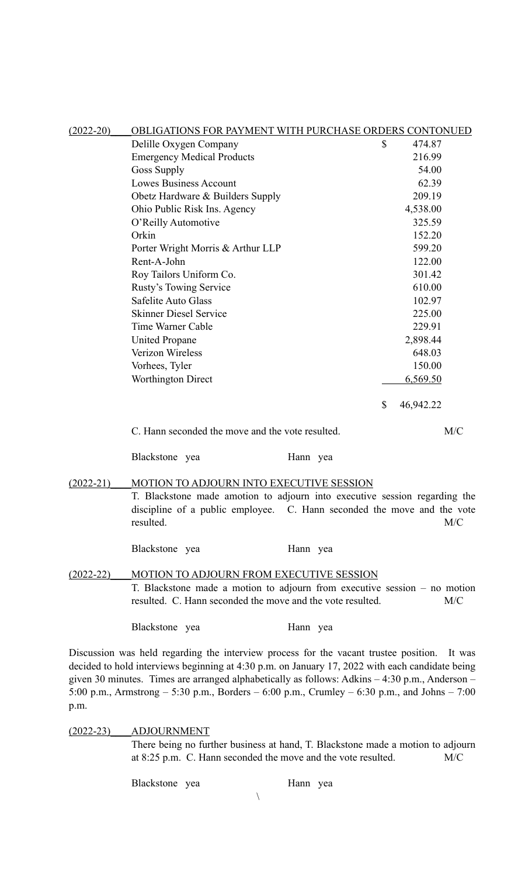| $(2022 - 20)$ | OBLIGATIONS FOR PAYMENT WITH PURCHASE ORDERS CONTONUED                                                                                                                                           |                                        |    |                  |  |  |
|---------------|--------------------------------------------------------------------------------------------------------------------------------------------------------------------------------------------------|----------------------------------------|----|------------------|--|--|
|               | Delille Oxygen Company                                                                                                                                                                           |                                        | \$ | 474.87           |  |  |
|               | <b>Emergency Medical Products</b>                                                                                                                                                                |                                        |    | 216.99           |  |  |
|               | <b>Goss Supply</b>                                                                                                                                                                               |                                        |    | 54.00            |  |  |
|               | <b>Lowes Business Account</b>                                                                                                                                                                    |                                        |    | 62.39            |  |  |
|               | Obetz Hardware & Builders Supply                                                                                                                                                                 |                                        |    | 209.19           |  |  |
|               | Ohio Public Risk Ins. Agency                                                                                                                                                                     |                                        |    | 4,538.00         |  |  |
|               | O'Reilly Automotive                                                                                                                                                                              |                                        |    | 325.59           |  |  |
|               | Orkin                                                                                                                                                                                            |                                        |    | 152.20           |  |  |
|               | Porter Wright Morris & Arthur LLP                                                                                                                                                                |                                        |    | 599.20           |  |  |
|               | Rent-A-John                                                                                                                                                                                      |                                        |    | 122.00           |  |  |
|               | Roy Tailors Uniform Co.                                                                                                                                                                          |                                        |    | 301.42           |  |  |
|               | Rusty's Towing Service                                                                                                                                                                           |                                        |    | 610.00           |  |  |
|               | Safelite Auto Glass                                                                                                                                                                              |                                        |    | 102.97           |  |  |
|               | <b>Skinner Diesel Service</b>                                                                                                                                                                    |                                        |    | 225.00           |  |  |
|               | Time Warner Cable                                                                                                                                                                                |                                        |    | 229.91           |  |  |
|               | <b>United Propane</b>                                                                                                                                                                            |                                        |    | 2,898.44         |  |  |
|               | Verizon Wireless                                                                                                                                                                                 |                                        |    | 648.03           |  |  |
|               | Vorhees, Tyler                                                                                                                                                                                   |                                        |    | 150.00           |  |  |
|               | <b>Worthington Direct</b>                                                                                                                                                                        |                                        |    | 6,569.50         |  |  |
|               | C. Hann seconded the move and the vote resulted.                                                                                                                                                 |                                        | \$ | 46,942.22<br>M/C |  |  |
|               | Blackstone yea                                                                                                                                                                                   | Hann yea                               |    |                  |  |  |
| $(2022 - 21)$ | MOTION TO ADJOURN INTO EXECUTIVE SESSION                                                                                                                                                         |                                        |    |                  |  |  |
|               | T. Blackstone made amotion to adjourn into executive session regarding the<br>discipline of a public employee.<br>resulted.                                                                      | C. Hann seconded the move and the vote |    | M/C              |  |  |
|               | Blackstone yea                                                                                                                                                                                   | Hann yea                               |    |                  |  |  |
| $(2022 - 22)$ | <b>MOTION TO ADJOURN FROM EXECUTIVE SESSION</b>                                                                                                                                                  |                                        |    |                  |  |  |
|               | T. Blackstone made a motion to adjourn from executive session – no motion<br>resulted. C. Hann seconded the move and the vote resulted.<br>M/C                                                   |                                        |    |                  |  |  |
|               | Blackstone yea                                                                                                                                                                                   | Hann yea                               |    |                  |  |  |
|               | Discussion was held regarding the interview process for the vacant trustee position.<br>decided to hold interviews beginning at $4.30 \text{ p m}$ on January 17, 2022 with each candidate being |                                        |    | It was           |  |  |

decided to hold interviews beginning at 4:30 p.m. on January 17, 2022 with each candidate being given 30 minutes. Times are arranged alphabetically as follows: Adkins – 4:30 p.m., Anderson – 5:00 p.m., Armstrong – 5:30 p.m., Borders – 6:00 p.m., Crumley – 6:30 p.m., and Johns – 7:00 p.m.

(2022-23)\_\_\_\_ADJOURNMENT

There being no further business at hand, T. Blackstone made a motion to adjourn at 8:25 p.m. C. Hann seconded the move and the vote resulted. M/C

Blackstone yea Hann yea